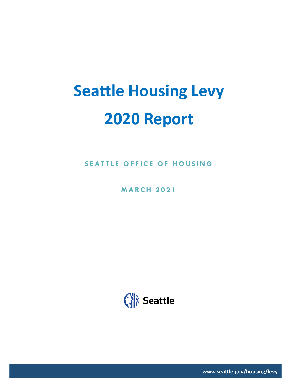# **Seattle Housing Levy 2020 Report**

**SEATTLE OFFICE OF HOUSING** 

**M A RC H 2 0 2 1**



**www.seattle.gov/housing/levy**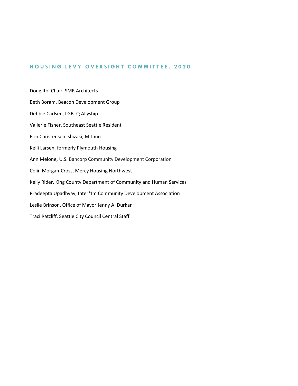#### **H O U S I N G L E V Y O V E R S I G H T C O M M I T TEE , 2 0 2 0**

Doug Ito, Chair, SMR Architects Beth Boram, Beacon Development Group Debbie Carlsen, LGBTQ Allyship Vallerie Fisher, Southeast Seattle Resident Erin Christensen Ishizaki, Mithun Kelli Larsen, formerly Plymouth Housing Ann Melone, U.S. Bancorp Community Development Corporation Colin Morgan-Cross, Mercy Housing Northwest Kelly Rider, King County Department of Community and Human Services Pradeepta Upadhyay, Inter\*Im Community Development Association Leslie Brinson, Office of Mayor Jenny A. Durkan Traci Ratzliff, Seattle City Council Central Staff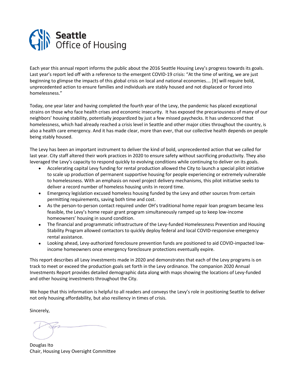

Each year this annual report informs the public about the 2016 Seattle Housing Levy's progress towards its goals. Last year's report led off with a reference to the emergent COVID-19 crisis: "At the time of writing, we are just beginning to glimpse the impacts of this global crisis on local and national economies.… [It] will require bold, unprecedented action to ensure families and individuals are stably housed and not displaced or forced into homelessness."

Today, one year later and having completed the fourth year of the Levy, the pandemic has placed exceptional strains on those who face health crises and economic insecurity. It has exposed the precariousness of many of our neighbors' housing stability, potentially jeopardized by just a few missed paychecks. It has underscored that homelessness, which had already reached a crisis level in Seattle and other major cities throughout the country, is also a health care emergency. And it has made clear, more than ever, that our collective health depends on people being stably housed.

The Levy has been an important instrument to deliver the kind of bold, unprecedented action that we called for last year. City staff altered their work practices in 2020 to ensure safety without sacrificing productivity. They also leveraged the Levy's capacity to respond quickly to evolving conditions while continuing to deliver on its goals.

- Accelerating capital Levy funding for rental production allowed the City to launch a special pilot initiative to scale up production of permanent supportive housing for people experiencing or extremely vulnerable to homelessness. With an emphasis on novel project delivery mechanisms, this pilot initiative seeks to deliver a record number of homeless housing units in record time.
- Emergency legislation excused homeless housing funded by the Levy and other sources from certain permitting requirements, saving both time and cost.
- As the person-to-person contact required under OH's traditional home repair loan program became less feasible, the Levy's home repair grant program simultaneously ramped up to keep low-income homeowners' housing in sound condition.
- The financial and programmatic infrastructure of the Levy-funded Homelessness Prevention and Housing Stability Program allowed contactors to quickly deploy federal and local COVID-responsive emergency rental assistance.
- Looking ahead, Levy-authorized foreclosure prevention funds are positioned to aid COVID-impacted lowincome homeowners once emergency foreclosure protections eventually expire.

This report describes all Levy investments made in 2020 and demonstrates that each of the Levy programs is on track to meet or exceed the production goals set forth in the Levy ordinance. The companion 2020 Annual Investments Report provides detailed demographic data along with maps showing the locations of Levy-funded and other housing investments throughout the City.

We hope that this information is helpful to all readers and conveys the Levy's role in positioning Seattle to deliver not only housing affordability, but also resiliency in times of crisis.

Sincerely,

Douglas Ito Chair, Housing Levy Oversight Committee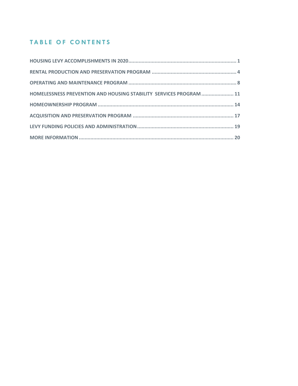# **TABLE OF CONTENTS**

| HOMELESSNESS PREVENTION AND HOUSING STABILITY SERVICES PROGRAM  11 |
|--------------------------------------------------------------------|
|                                                                    |
|                                                                    |
|                                                                    |
|                                                                    |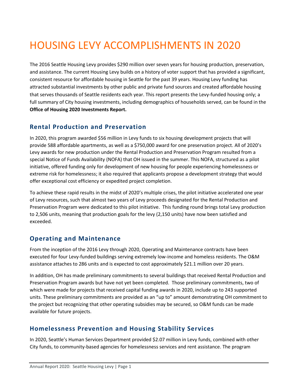# <span id="page-4-0"></span>HOUSING LEVY ACCOMPLISHMENTS IN 2020

The 2016 Seattle Housing Levy provides \$290 million over seven years for housing production, preservation, and assistance. The current Housing Levy builds on a history of voter support that has provided a significant, consistent resource for affordable housing in Seattle for the past 39 years. Housing Levy funding has attracted substantial investments by other public and private fund sources and created affordable housing that serves thousands of Seattle residents each year. This report presents the Levy-funded housing only; a full summary of City housing investments, including demographics of households served, can be found in the **Office of Housing 2020 Investments Report.**

### **Rental Production and Preservation**

In 2020, this program awarded \$56 million in Levy funds to six housing development projects that will provide 588 affordable apartments, as well as a \$750,000 award for one preservation project. All of 2020's Levy awards for new production under the Rental Production and Preservation Program resulted from a special Notice of Funds Availability (NOFA) that OH issued in the summer. This NOFA, structured as a pilot initiative, offered funding only for development of new housing for people experiencing homelessness or extreme risk for homelessness; it also required that applicants propose a development strategy that would offer exceptional cost efficiency or expedited project completion.

To achieve these rapid results in the midst of 2020's multiple crises, the pilot initiative accelerated one year of Levy resources, such that almost two years of Levy proceeds designated for the Rental Production and Preservation Program were dedicated to this pilot initiative. This funding round brings total Levy production to 2,506 units, meaning that production goals for the levy (2,150 units) have now been satisfied and exceeded.

# **Operating and Maintenance**

From the inception of the 2016 Levy through 2020, Operating and Maintenance contracts have been executed for four Levy-funded buildings serving extremely low-income and homeless residents. The O&M assistance attaches to 286 units and is expected to cost approximately \$21.1 million over 20 years.

In addition, OH has made preliminary commitments to several buildings that received Rental Production and Preservation Program awards but have not yet been completed. Those preliminary commitments, two of which were made for projects that received capital funding awards in 2020, include up to 243 supported units. These preliminary commitments are provided as an "up to" amount demonstrating OH commitment to the project but recognizing that other operating subsidies may be secured, so O&M funds can be made available for future projects.

## **Homelessness Prevention and Housing Stability Services**

In 2020, Seattle's Human Services Department provided \$2.07 million in Levy funds, combined with other City funds, to community-based agencies for homelessness services and rent assistance. The program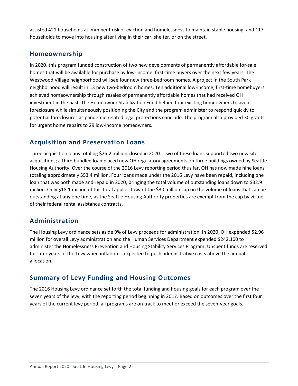assisted 421 households at imminent risk of eviction and homelessness to maintain stable housing, and 117 households to move into housing after living in their car, shelter, or on the street.

# **Homeownership**

In 2020, this program funded construction of two new developments of permanently affordable for-sale homes that will be available for purchase by low-income, first-time buyers over the next few years. The Westwood Village neighborhood will see four new three-bedroom homes. A project in the South Park neighborhood will result in 13 new two-bedroom homes. Ten additional low-income, first-time homebuyers achieved homeownership through resales of permanently affordable homes that had received OH investment in the past. The Homeowner Stabilization Fund helped four existing homeowners to avoid foreclosure while simultaneously positioning the City and the program administer to respond quickly to potential foreclosures as pandemic-related legal protections conclude. The program also provided 30 grants for urgent home repairs to 29 low-income homeowners.

# **Acquisition and Preservation Loans**

Three acquisition loans totaling \$25.2 million closed in 2020. Two of these loans supported two new site acquisitions; a third bundled loan placed new OH regulatory agreements on three buildings owned by Seattle Housing Authority. Over the course of the 2016 Levy reporting period thus far, OH has now made nine loans totaling approximately \$53.4 million. Four loans made under the 2016 Levy have been repaid, including one loan that was both made and repaid in 2020, bringing the total volume of outstanding loans down to \$32.9 million. Only \$18.1 million of this total applies toward the \$30 million cap on the volume of loans that can be outstanding at any one time, as the Seattle Housing Authority properties are exempt from the cap by virtue of their federal rental assistance contracts.

# **Administration**

The Housing Levy ordinance sets aside 9% of Levy proceeds for administration. In 2020, OH expended \$2.96 million for overall Levy administration and the Human Services Department expended \$242,100 to administer the Homelessness Prevention and Housing Stability Services Program. Unspent funds are reserved for later years of the Levy when inflation is expected to push administrative costs above the annual allocation.

## **Summary of Levy Funding and Housing Outcomes**

The 2016 Housing Levy ordinance set forth the total funding and housing goals for each program over the seven years of the levy, with the reporting period beginning in 2017. Based on outcomes over the first four years of the current levy period, all programs are on track to meet or exceed the seven-year goals.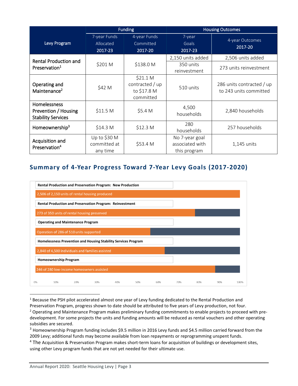|                                                                   | <b>Funding</b>                           |                                                         |                                                   | <b>Housing Outcomes</b>                             |
|-------------------------------------------------------------------|------------------------------------------|---------------------------------------------------------|---------------------------------------------------|-----------------------------------------------------|
| Levy Program                                                      | 7-year Funds<br>Allocated<br>2017-23     | 4-year Funds<br>Committed<br>2017-20                    | 7-year<br>Goals<br>2017-23                        | 4-year Outcomes<br>2017-20                          |
| <b>Rental Production and</b>                                      |                                          |                                                         | 2,150 units added                                 | 2,506 units added                                   |
| Preservation <sup>1</sup>                                         | \$201 M                                  | \$138.0 M                                               | 350 units<br>reinvestment                         | 273 units reinvestment                              |
| Operating and<br>Maintenance <sup>2</sup>                         | \$42 M                                   | \$21.1 M<br>contracted / up<br>to \$17.8 M<br>committed | 510 units                                         | 286 units contracted / up<br>to 243 units committed |
| Homelessness<br>Prevention / Housing<br><b>Stability Services</b> | \$11.5 M                                 | \$5.4 M                                                 | 4,500<br>households                               | 2,840 households                                    |
| Homeownership <sup>3</sup>                                        | \$14.3 <sub>M</sub>                      | \$12.3 <sub>M</sub>                                     | 280<br>households                                 | 257 households                                      |
| Acquisition and<br>Preservation <sup>4</sup>                      | Up to \$30 M<br>committed at<br>any time | \$53.4 M                                                | No 7-year goal<br>associated with<br>this program | 1,145 units                                         |

# **Summary of 4-Year Progress Toward 7-Year Levy Goals (2017-2020)**

|    |                              |                                          | Rental Production and Preservation Program: New Production      |     |     |     |     |     |     |      |
|----|------------------------------|------------------------------------------|-----------------------------------------------------------------|-----|-----|-----|-----|-----|-----|------|
|    |                              |                                          | 2,506 of 2,150 units of rental housing produced                 |     |     |     |     |     |     |      |
|    |                              |                                          | <b>Rental Production and Preservation Program: Reinvestment</b> |     |     |     |     |     |     |      |
|    |                              |                                          | 273 of 350 units of rental housing preserved                    |     |     |     |     |     |     |      |
|    |                              | <b>Operating and Maintenance Program</b> |                                                                 |     |     |     |     |     |     |      |
|    |                              | Operation of 286 of 510 units supported  |                                                                 |     |     |     |     |     |     |      |
|    |                              |                                          | Homelessness Prevention and Housing Stability Services Program  |     |     |     |     |     |     |      |
|    |                              |                                          | 2,840 of 4,500 individuals and families assisted                |     |     |     |     |     |     |      |
|    | <b>Homeownership Program</b> |                                          |                                                                 |     |     |     |     |     |     |      |
|    |                              |                                          | 246 of 280 low-income homeowners assisted                       |     |     |     |     |     |     |      |
| 0% | 10%                          | 20%                                      | 30%                                                             | 40% | 50% | 60% | 70% | 80% | 90% | 100% |

<sup>&</sup>lt;sup>1</sup> Because the PSH pilot accelerated almost one year of Levy funding dedicated to the Rental Production and

Preservation Program, progress shown to date should be attributed to five years of Levy production, not four.

<sup>&</sup>lt;sup>2</sup> Operating and Maintenance Program makes preliminary funding commitments to enable projects to proceed with predevelopment. For some projects the units and funding amounts will be reduced as rental vouchers and other operating subsidies are secured.

<sup>&</sup>lt;sup>3</sup> Homeownership Program funding includes \$9.5 million in 2016 Levy funds and \$4.5 million carried forward from the 2009 Levy; additional funds may become available from loan repayments or reprogramming unspent funds.

<sup>&</sup>lt;sup>4</sup> The Acquisition & Preservation Program makes short-term loans for acquisition of buildings or development sites, using other Levy program funds that are not yet needed for their ultimate use.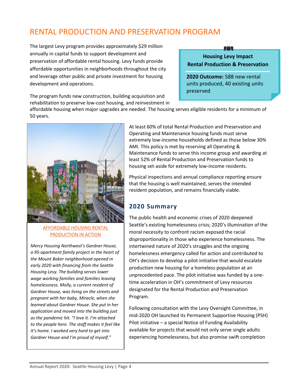# <span id="page-7-0"></span>RENTAL PRODUCTION AND PRESERVATION PROGRAM

The largest Levy program provides approximately \$29 million annually in capital funds to support development and preservation of affordable rental housing. Levy funds provide affordable opportunities in neighborhoods throughout the city and leverage other public and private investment for housing development and operations.

The program funds new construction, building acquisition and rehabilitation to preserve low-cost housing, and reinvestment in

**Housing Levy Impact Rental Production & Preservation**

 $\pm$ .

**2020 Outcome:** 588 new rental units produced, 40 existing units preserved

affordable housing when major upgrades are needed. The housing serves eligible residents for a minimum of 50 years.



#### AFFORDABLE HOUSING RENTAL PRODUCTION IN ACTION

*Mercy Housing Northwest's Gardner House, a 95-apartment family project in the heart of the Mount Baker neighborhood opened in early 2020 with financing from the Seattle Housing Levy. The building serves lower wage working families and families leaving homelessness. Molly, a current resident of Gardner House, was living on the streets and pregnant with her baby, Miracle, when she learned about Gardner House. She put in her application and moved into the building just as the pandemic hit. "I love it. I'm attached to the people here. The staff makes it feel like it's home. I worked very hard to get into Gardner House and I'm proud of myself."*

At least 60% of total Rental Production and Preservation and Operating and Maintenance housing funds must serve extremely low-income households defined as those below 30% AMI. This policy is met by reserving all Operating & Maintenance funds to serve this income group and awarding at least 52% of Rental Production and Preservation funds to housing set-aside for extremely low-income residents.

Physical inspections and annual compliance reporting ensure that the housing is well maintained, serves the intended resident population, and remains financially viable.

# **2020 Summary**

The public health and economic crises of 2020 deepened Seattle's existing homelessness crisis; 2020's illumination of the moral necessity to confront racism exposed the racial disproportionality in those who experience homelessness. The intertwined nature of 2020's struggles and the ongoing homelessness emergency called for action and contributed to OH's decision to develop a pilot initiative that would escalate production new housing for a homeless population at an unprecedented pace. The pilot initiative was funded by a onetime acceleration in OH's commitment of Levy resources designated for the Rental Production and Preservation Program.

Following consultation with the Levy Oversight Committee, in mid-2020 OH launched its Permanent Supportive Housing (PSH) Pilot initiative – a special Notice of Funding Availability available for projects that would not only serve single adults experiencing homelessness, but also promise swift completion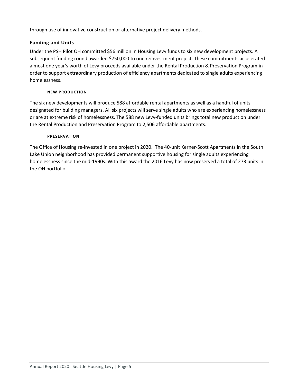through use of innovative construction or alternative project delivery methods.

### **Funding and Units**

Under the PSH Pilot OH committed \$56 million in Housing Levy funds to six new development projects. A subsequent funding round awarded \$750,000 to one reinvestment project. These commitments accelerated almost one year's worth of Levy proceeds available under the Rental Production & Preservation Program in order to support extraordinary production of efficiency apartments dedicated to single adults experiencing homelessness.

#### **NEW PRODUCTION**

The six new developments will produce 588 affordable rental apartments as well as a handful of units designated for building managers. All six projects will serve single adults who are experiencing homelessness or are at extreme risk of homelessness. The 588 new Levy-funded units brings total new production under the Rental Production and Preservation Program to 2,506 affordable apartments.

#### **PRESERVATION**

The Office of Housing re-invested in one project in 2020. The 40-unit Kerner-Scott Apartments in the South Lake Union neighborhood has provided permanent supportive housing for single adults experiencing homelessness since the mid-1990s. With this award the 2016 Levy has now preserved a total of 273 units in the OH portfolio.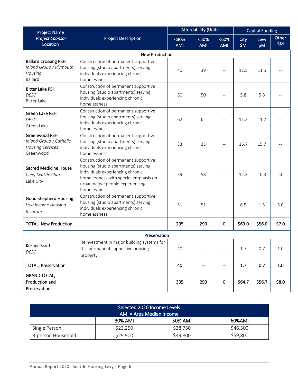| <b>Project Name</b>                                                                 |                                                                                                                                                                                                              |     | <b>Affordability (Units)</b> |                       | <b>Capital Funding</b> |               |                |
|-------------------------------------------------------------------------------------|--------------------------------------------------------------------------------------------------------------------------------------------------------------------------------------------------------------|-----|------------------------------|-----------------------|------------------------|---------------|----------------|
| <b>Project Sponsor</b><br>Location                                                  | <b>Project Description</b>                                                                                                                                                                                   |     | <50%<br><b>AMI</b>           | $<60\%$<br><b>AMI</b> | <b>City</b><br>\$M\$   | Levy<br>\$M\$ | Other<br>\$M\$ |
|                                                                                     | <b>New Production</b>                                                                                                                                                                                        |     |                              |                       |                        |               |                |
| <b>Ballard Crossing PSH</b><br>Inland Group / Plymouth<br>Housing<br><b>Ballard</b> | Construction of permanent supportive<br>housing (studio apartments) serving<br>individuals experiencing chronic<br>homelessness                                                                              | 40  | 39                           |                       | 11.5                   | 11.5          |                |
| <b>Bitter Lake PSH</b><br><b>DESC</b><br><b>Bitter Lake</b>                         | Construction of permanent supportive<br>housing (studio apartments) serving<br>individuals experiencing chronic<br>homelessness                                                                              | 50  | 50                           |                       | 5.8                    | 5.8           |                |
| Green Lake PSH<br><b>DESC</b><br>Green Lake                                         | Construction of permanent supportive<br>housing (studio apartments) serving<br>individuals experiencing chronic<br>homelessness                                                                              | 62  | 62                           |                       | 11.2                   | 11.2          |                |
| Greenwood PSH<br>Inland Group / Catholic<br><b>Housing Services</b><br>Greenwood    | Construction of permanent supportive<br>housing (studio apartments) serving<br>individuals experiencing chronic<br>homelessness                                                                              | 33  | 33                           |                       | 15.7                   | 15.7          |                |
| <b>Sacred Medicine House</b><br>Chief Seattle Club<br>Lake City                     | Construction of permanent supportive<br>housing (studio apartments) serving<br>individuals experiencing chronic<br>homelessness with special emphasis on<br>urban native people experiencing<br>homelessness | 59  | 58                           |                       | 12.3                   | 10.3          | 2.0            |
| <b>Good Shepherd Housing</b><br>Low Income Housing<br>Institute                     | Construction of permanent supportive<br>housing (studio apartments) serving<br>individuals experiencing chronic<br>homelessness                                                                              | 51  | 51                           |                       | 6.5                    | 1.5           | 5.0            |
| <b>TOTAL, New Production</b>                                                        |                                                                                                                                                                                                              | 295 | 293                          | 0                     | \$63.0                 | \$56.0        | \$7.0          |
| Preservation                                                                        |                                                                                                                                                                                                              |     |                              |                       |                        |               |                |
| Kerner-Scott<br><b>DESC</b>                                                         | Reinvestment in major building systems for<br>this permanent supportive housing<br>property                                                                                                                  | 40  | $\overline{\phantom{m}}$     | $-\,-$                | $1.7\,$                | 0.7           | $1.0\,$        |
| <b>TOTAL, Preservation</b>                                                          |                                                                                                                                                                                                              | 40  | --                           | --                    | 1.7                    | 0.7           | 1.0            |
| <b>GRAND TOTAL,</b><br>Production and<br>Preservation                               |                                                                                                                                                                                                              | 335 | 293                          | 0                     | \$64.7                 | \$56.7        | \$8.0          |

| Selected 2020 Income Levels<br>AMI = Area Median Income |          |          |          |  |  |
|---------------------------------------------------------|----------|----------|----------|--|--|
| 50% AMI<br>30% AMI<br>60%AMI                            |          |          |          |  |  |
| Single Person                                           | \$23,250 | \$38,750 | \$46,500 |  |  |
| 3-person Household                                      | \$29,900 | \$49,800 | \$59,800 |  |  |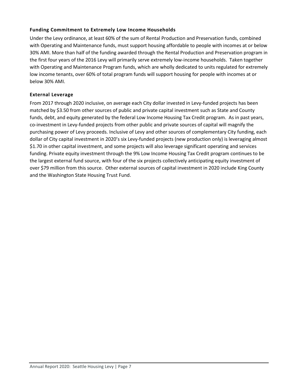#### **Funding Commitment to Extremely Low Income Households**

Under the Levy ordinance, at least 60% of the sum of Rental Production and Preservation funds, combined with Operating and Maintenance funds, must support housing affordable to people with incomes at or below 30% AMI. More than half of the funding awarded through the Rental Production and Preservation program in the first four years of the 2016 Levy will primarily serve extremely low-income households. Taken together with Operating and Maintenance Program funds, which are wholly dedicated to units regulated for extremely low income tenants, over 60% of total program funds will support housing for people with incomes at or below 30% AMI.

#### **External Leverage**

From 2017 through 2020 inclusive, on average each City dollar invested in Levy-funded projects has been matched by \$3.50 from other sources of public and private capital investment such as State and County funds, debt, and equity generated by the federal Low Income Housing Tax Credit program. As in past years, co-investment in Levy-funded projects from other public and private sources of capital will magnify the purchasing power of Levy proceeds. Inclusive of Levy and other sources of complementary City funding, each dollar of City capital investment in 2020's six Levy-funded projects (new production only) is leveraging almost \$1.70 in other capital investment, and some projects will also leverage significant operating and services funding. Private equity investment through the 9% Low Income Housing Tax Credit program continues to be the largest external fund source, with four of the six projects collectively anticipating equity investment of over \$79 million from this source. Other external sources of capital investment in 2020 include King County and the Washington State Housing Trust Fund.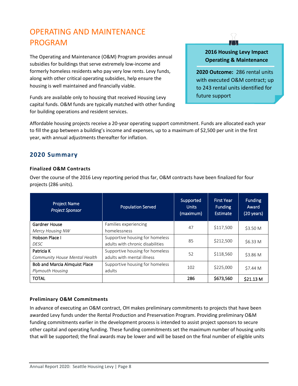# <span id="page-11-0"></span>OPERATING AND MAINTENANCE PROGRAM

The Operating and Maintenance (O&M) Program provides annual subsidies for buildings that serve extremely low-income and formerly homeless residents who pay very low rents. Levy funds, along with other critical operating subsidies, help ensure the housing is well maintained and financially viable.

Funds are available only to housing that received Housing Levy capital funds. O&M funds are typically matched with other funding for building operations and resident services.

### **2016 Housing Levy Impact Operating & Maintenance**

 $\top$ 

**2020 Outcome:** 286 rental units with executed O&M contract; up to 243 rental units identified for future support

Affordable housing projects receive a 20-year operating support commitment. Funds are allocated each year to fill the gap between a building's income and expenses, up to a maximum of \$2,500 per unit in the first year, with annual adjustments thereafter for inflation.

## **2020 Summary**

#### **Finalized O&M Contracts**

Over the course of the 2016 Levy reporting period thus far, O&M contracts have been finalized for four projects (286 units).

| <b>Project Name</b><br><b>Project Sponsor</b>            | <b>Population Served</b>                                            | Supported<br><b>Units</b><br>(maximum) | <b>First Year</b><br><b>Funding</b><br><b>Estimate</b> | <b>Funding</b><br>Award<br>(20 years) |
|----------------------------------------------------------|---------------------------------------------------------------------|----------------------------------------|--------------------------------------------------------|---------------------------------------|
| <b>Gardner House</b><br>Mercy Housing NW                 | Families experiencing<br>homelessness                               | 47                                     | \$117,500                                              | \$3.50 M                              |
| Hobson Place I<br><b>DESC</b>                            | Supportive housing for homeless<br>adults with chronic disabilities | 85                                     | \$212,500                                              | \$6.33 M                              |
| Patricia K<br>Community House Mental Health              | Supportive housing for homeless<br>adults with mental illness       | 52                                     | \$118,560                                              | \$3.86 M                              |
| <b>Bob and Marcia Almquist Place</b><br>Plymouth Housing | Supportive housing for homeless<br>adults                           | 102                                    | \$225,000                                              | \$7.44 M                              |
| <b>TOTAL</b>                                             |                                                                     | 286                                    | \$673,560                                              | \$21.13 M                             |

### **Preliminary O&M Commitments**

In advance of executing an O&M contract, OH makes preliminary commitments to projects that have been awarded Levy funds under the Rental Production and Preservation Program. Providing preliminary O&M funding commitments earlier in the development process is intended to assist project sponsors to secure other capital and operating funding. These funding commitments set the maximum number of housing units that will be supported; the final awards may be lower and will be based on the final number of eligible units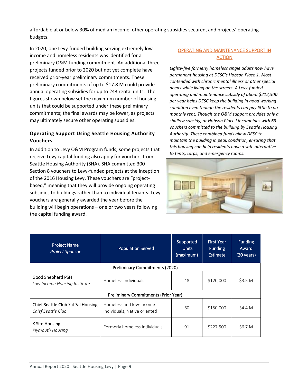affordable at or below 30% of median income, other operating subsidies secured, and projects' operating budgets.

In 2020, one Levy-funded building serving extremely lowincome and homeless residents was identified for a preliminary O&M funding commitment. An additional three projects funded prior to 2020 but not yet complete have received prior-year preliminary commitments. These preliminary commitments of up to \$17.8 M could provide annual operating subsidies for up to 243 rental units. The figures shown below set the maximum number of housing units that could be supported under these preliminary commitments; the final awards may be lower, as projects may ultimately secure other operating subsidies.

### **Operating Support Using Seattle Housing Authority Vouchers**

In addition to Levy O&M Program funds, some projects that receive Levy capital funding also apply for vouchers from Seattle Housing Authority (SHA). SHA committed 300 Section 8 vouchers to Levy-funded projects at the inception of the 2016 Housing Levy. These vouchers are "projectbased," meaning that they will provide ongoing operating subsidies to buildings rather than to individual tenants. Levy vouchers are generally awarded the year before the building will begin operations – one or two years following the capital funding award.

### OPERATING AND MAINTENANCE SUPPORT IN ACTION

*Eighty-five formerly homeless single adults now have permanent housing at DESC's Hobson Place 1. Most contended with chronic mental illness or other special needs while living on the streets. A Levy-funded operating and maintenance subsidy of about \$212,500 per year helps DESC keep the building in good working condition even though the residents can pay little to no monthly rent. Though the O&M support provides only a shallow subsidy, at Hobson Place I it combines with 63 vouchers committed to the building by Seattle Housing Authority. These combined funds allow DESC to maintain the building in peak condition, ensuring that this housing can help residents have a safe alternative to tents, tarps, and emergency rooms.* 



| <b>Project Name</b><br><b>Project Sponsor</b>            | <b>Population Served</b>                                | Supported<br><b>Units</b><br>(maximum) | <b>First Year</b><br><b>Funding</b><br><b>Estimate</b> | <b>Funding</b><br>Award<br>(20 years) |
|----------------------------------------------------------|---------------------------------------------------------|----------------------------------------|--------------------------------------------------------|---------------------------------------|
|                                                          | <b>Preliminary Commitments (2020)</b>                   |                                        |                                                        |                                       |
| Good Shepherd PSH<br>Low Income Housing Institute        | Homeless individuals                                    | 48                                     | \$120,000                                              | \$3.5 <sub>M</sub>                    |
|                                                          | <b>Preliminary Commitments (Prior Year)</b>             |                                        |                                                        |                                       |
| Chief Seattle Club ?al ?al Housing<br>Chief Seattle Club | Homeless and low-income<br>individuals, Native oriented | 60                                     | \$150,000                                              | \$4.4 M                               |
| K Site Housing<br>Plymouth Housing                       | Formerly homeless individuals                           | 91                                     | \$227,500                                              | \$6.7 M                               |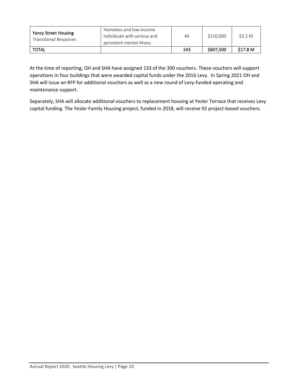| <b>Yancy Street Housing</b><br><b>Transitional Resources</b> | Homeless and low-income<br>individuals with serious and<br>persistent mental illness | 44  | \$110,000 | \$3.2 M  |
|--------------------------------------------------------------|--------------------------------------------------------------------------------------|-----|-----------|----------|
| <b>TOTAL</b>                                                 |                                                                                      | 243 | \$607,500 | \$17.8 M |

At the time of reporting, OH and SHA have assigned 133 of the 300 vouchers. These vouchers will support operations in four buildings that were awarded capital funds under the 2016 Levy. In Spring 2021 OH and SHA will issue an RFP for additional vouchers as well as a new round of Levy-funded operating and maintenance support.

Separately, SHA will allocate additional vouchers to replacement housing at Yesler Terrace that receives Levy capital funding. The Yesler Family Housing project, funded in 2018, will receive 92 project-based vouchers.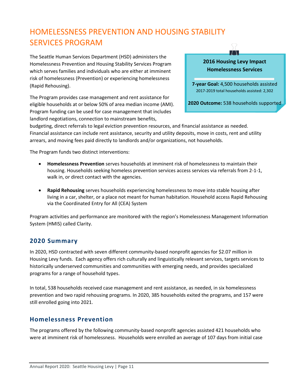# <span id="page-14-0"></span>HOMELESSNESS PREVENTION AND HOUSING STABILITY SERVICES PROGRAM

The Seattle Human Services Department (HSD) administers the Homelessness Prevention and Housing Stability Services Program which serves families and individuals who are either at imminent risk of homelessness (Prevention) or experiencing homelessness (Rapid Rehousing).

The Program provides case management and rent assistance for eligible households at or below 50% of area median income (AMI). Program funding can be used for case management that includes landlord negotiations, connection to mainstream benefits,

# **2016 Housing Levy Impact Homelessness Services**

 $\top$ 

**7-year Goal:** 4,500 households assisted 2017-2019 total households assisted: 2,302

**2020 Outcome:** 538 households supported

budgeting, direct referrals to legal eviction prevention resources, and financial assistance as needed. Financial assistance can include rent assistance, security and utility deposits, move in costs, rent and utility arrears, and moving fees paid directly to landlords and/or organizations, not households.

The Program funds two distinct interventions:

- **Homelessness Prevention** serves households at imminent risk of homelessness to maintain their housing. Households seeking homeless prevention services access services via referrals from 2-1-1, walk in, or direct contact with the agencies.
- **Rapid Rehousing** serves households experiencing homelessness to move into stable housing after living in a car, shelter, or a place not meant for human habitation. Household access Rapid Rehousing via the Coordinated Entry for All (CEA) System

Program activities and performance are monitored with the region's Homelessness Management Information System (HMIS) called Clarity.

### **2020 Summary**

In 2020, HSD contracted with seven different community-based nonprofit agencies for \$2.07 million in Housing Levy funds. Each agency offers rich culturally and linguistically relevant services, targets services to historically underserved communities and communities with emerging needs, and provides specialized programs for a range of household types.

In total, 538 households received case management and rent assistance, as needed, in six homelessness prevention and two rapid rehousing programs. In 2020, 385 households exited the programs, and 157 were still enrolled going into 2021.

### **Homelessness Prevention**

The programs offered by the following community-based nonprofit agencies assisted 421 households who were at imminent risk of homelessness. Households were enrolled an average of 107 days from initial case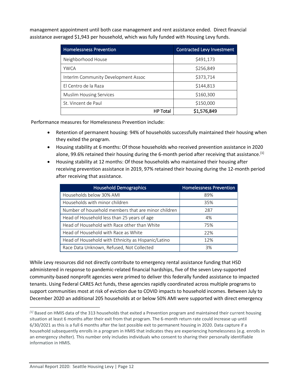management appointment until both case management and rent assistance ended. Direct financial assistance averaged \$1,943 per household, which was fully funded with Housing Levy funds.

| <b>Homelessness Prevention</b>      | Contracted Levy Investment |
|-------------------------------------|----------------------------|
| Neighborhood House                  | \$491,173                  |
| <b>YWCA</b>                         | \$256,849                  |
| Interlm Community Development Assoc | \$373,714                  |
| El Centro de la Raza                | \$144,813                  |
| <b>Muslim Housing Services</b>      | \$160,300                  |
| St. Vincent de Paul                 | \$150,000                  |
| HP Total                            | \$1,576,849                |

Performance measures for Homelessness Prevention include:

- Retention of permanent housing: 94% of households successfully maintained their housing when they exited the program.
- Housing stability at 6 months: Of those households who received prevention assistance in 2020 alone, 99.6% retained their housing during the 6-month period after receiving that assistance.<sup>[1]</sup>
- Housing stability at 12 months: Of those households who maintained their housing after receiving prevention assistance in 2019, 97% retained their housing during the 12-month period after receiving that assistance.

| <b>Household Demographics</b>                       | <b>Homelessness Prevention</b> |
|-----------------------------------------------------|--------------------------------|
| Households below 30% AMI                            | 89%                            |
| Households with minor children                      | 35%                            |
| Number of household members that are minor children | 287                            |
| Head of Household less than 25 years of age         | 4%                             |
| Head of Household with Race other than White        | 75%                            |
| Head of Household with Race as White                | 22%                            |
| Head of Household with Ethnicity as Hispanic/Latino | 12%                            |
| Race Data Unknown, Refused, Not Collected           | 3%                             |

While Levy resources did not directly contribute to emergency rental assistance funding that HSD administered in response to pandemic-related financial hardships, five of the seven Levy-supported community-based nonprofit agencies were primed to deliver this federally funded assistance to impacted tenants. Using Federal CARES Act funds, these agencies rapidly coordinated across multiple programs to support communities most at risk of eviction due to COVID impacts to household incomes. Between July to December 2020 an additional 205 households at or below 50% AMI were supported with direct emergency

*<sup>[1]</sup>* Based on HMIS data of the 313 households that exited a Prevention program and maintained their current housing situation at least 6 months after their exit from that program. The 6-month return rate could increase up until 6/30/2021 as this is a full 6 months after the last possible exit to permanent housing in 2020. Data capture if a household subsequently enrolls in a program in HMIS that indicates they are experiencing homelessness (e.g. enrolls in an emergency shelter). This number only includes individuals who consent to sharing their personally identifiable information in HMIS.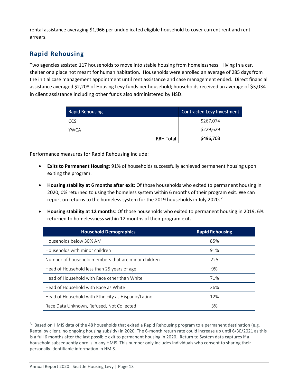rental assistance averaging \$1,966 per unduplicated eligible household to cover current rent and rent arrears.

# **Rapid Rehousing**

Two agencies assisted 117 households to move into stable housing from homelessness – living in a car, shelter or a place not meant for human habitation. Households were enrolled an average of 285 days from the initial case management appointment until rent assistance and case management ended. Direct financial assistance averaged \$2,208 of Housing Levy funds per household; households received an average of \$3,034 in client assistance including other funds also administered by HSD.

| <b>Rapid Rehousing</b> |                  | Contracted Levy Investment |
|------------------------|------------------|----------------------------|
| CCS                    |                  | \$267,074                  |
| YWCA                   |                  | \$229,629                  |
|                        | <b>RRH Total</b> | \$496,703                  |

Performance measures for Rapid Rehousing include:

- **Exits to Permanent Housing**: 91% of households successfully achieved permanent housing upon exiting the program.
- **Housing stability at 6 months after exit:** Of those households who exited to permanent housing in 2020, 0% returned to using the homeless system within 6 months of their program exit. We can report on returns to the homeless system for the 2019 households in July 2020.<sup>2</sup>
- **Housing stability at 12 months**: Of those households who exited to permanent housing in 2019, 6% returned to homelessness within 12 months of their program exit.

| <b>Household Demographics</b>                       | <b>Rapid Rehousing</b> |
|-----------------------------------------------------|------------------------|
| Households below 30% AMI                            | 85%                    |
| Households with minor children                      | 91%                    |
| Number of household members that are minor children | 225                    |
| Head of Household less than 25 years of age         | 9%                     |
| Head of Household with Race other than White        | 71%                    |
| Head of Household with Race as White                | 26%                    |
| Head of Household with Ethnicity as Hispanic/Latino | 12%                    |
| Race Data Unknown, Refused, Not Collected           | 3%                     |

*<sup>[2]</sup>* Based on HMIS data of the 48 households that exited a Rapid Rehousing program to a permanent destination (e.g. Rental by client, no ongoing housing subsidy) in 2020. The 6-month return rate could increase up until 6/30/2021 as this is a full 6 months after the last possible exit to permanent housing in 2020. Return to System data captures if a household subsequently enrolls in any HMIS. This number only includes individuals who consent to sharing their personally identifiable information in HMIS.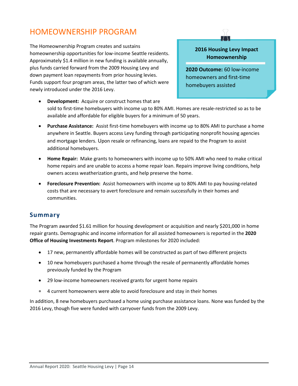# <span id="page-17-0"></span>HOMEOWNERSHIP PROGRAM

The Homeownership Program creates and sustains homeownership opportunities for low-income Seattle residents. Approximately \$1.4 million in new funding is available annually, plus funds carried forward from the 2009 Housing Levy and down payment loan repayments from prior housing levies. Funds support four program areas, the latter two of which were newly introduced under the 2016 Levy.

### **2016 Housing Levy Impact Homeownership**

**2020 Outcome:** 60 low-income homeowners and first-time homebuyers assisted

- **Development:** Acquire or construct homes that are sold to first-time homebuyers with income up to 80% AMI. Homes are resale-restricted so as to be available and affordable for eligible buyers for a minimum of 50 years.
- **Purchase Assistance:** Assist first-time homebuyers with income up to 80% AMI to purchase a home anywhere in Seattle. Buyers access Levy funding through participating nonprofit housing agencies and mortgage lenders. Upon resale or refinancing, loans are repaid to the Program to assist additional homebuyers.
- **Home Repair:** Make grants to homeowners with income up to 50% AMI who need to make critical home repairs and are unable to access a home repair loan. Repairs improve living conditions, help owners access weatherization grants, and help preserve the home.
- **Foreclosure Prevention:** Assist homeowners with income up to 80% AMI to pay housing-related costs that are necessary to avert foreclosure and remain successfully in their homes and communities.

### **Summary**

The Program awarded \$1.61 million for housing development or acquisition and nearly \$201,000 in home repair grants. Demographic and income information for all assisted homeowners is reported in the **2020 Office of Housing Investments Report**. Program milestones for 2020 included:

- 17 new, permanently affordable homes will be constructed as part of two different projects
- 10 new homebuyers purchased a home through the resale of permanently affordable homes previously funded by the Program
- 29 low-income homeowners received grants for urgent home repairs
- 4 current homeowners were able to avoid foreclosure and stay in their homes

In addition, 8 new homebuyers purchased a home using purchase assistance loans. None was funded by the 2016 Levy, though five were funded with carryover funds from the 2009 Levy.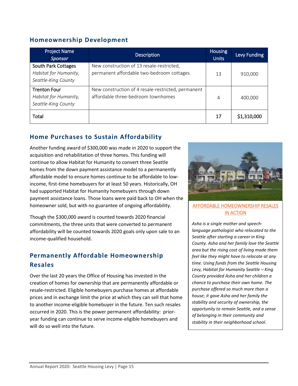# **Homeownership Development**

| <b>Project Name</b><br><b>Sponsor</b>                               | <b>Description</b>                                                                       | Housing<br><b>Units</b> | Levy Funding |
|---------------------------------------------------------------------|------------------------------------------------------------------------------------------|-------------------------|--------------|
| South Park Cottages<br>Habitat for Humanity,<br>Seattle-King County | New construction of 13 resale-restricted,<br>permanent affordable two-bedroom cottages   | 13                      | 910,000      |
| <b>Trenton Four</b><br>Habitat for Humanity,<br>Seattle-King County | New construction of 4 resale-restricted, permanent<br>affordable three-bedroom townhomes | 4                       | 400,000      |
| Total                                                               |                                                                                          | 17                      | \$1,310,000  |

# **Home Purchases to Sustain Affordability**

Another funding award of \$300,000 was made in 2020 to support the acquisition and rehabilitation of three homes. This funding will continue to allow Habitat for Humanity to convert three Seattle homes from the down payment assistance model to a permanently affordable model to ensure homes continue to be affordable to lowincome, first-time homebuyers for at least 50 years. Historically, OH had supported Habitat for Humanity homebuyers through down payment assistance loans. Those loans were paid back to OH when the homeowner sold, but with no guarantee of ongoing affordability.

Though the \$300,000 award is counted towards 2020 financial commitments, the three units that were converted to permanent affordability will be counted towards 2020 goals only upon sale to an income-qualified household.

# **Permanently Affordable Homeownership Resales**

Over the last 20 years the Office of Housing has invested in the creation of homes for ownership that are permanently affordable or resale-restricted. Eligible homebuyers purchase homes at affordable prices and in exchange limit the price at which they can sell that home to another income-eligible homebuyer in the future. Ten such resales occurred in 2020. This is the power permanent affordability: prioryear funding can continue to serve income-eligible homebuyers and will do so well into the future.



#### AFFORDABLE HOMEOWNERSHIP RESALES IN ACTION

*Asha is a single mother and speechlanguage pathologist who relocated to the Seattle after starting a career in King County. Asha and her family love the Seattle area but the rising cost of living made them feel like they might have to relocate at any time. Using funds from the Seattle Housing Levy, Habitat for Humanity Seattle – King County provided Asha and her children a chance to purchase their own home. The purchase offered so much more than a house; it gave Asha and her family the stability and security of ownership, the opportunity to remain Seattle, and a sense of belonging in their community and stability in their neighborhood school*.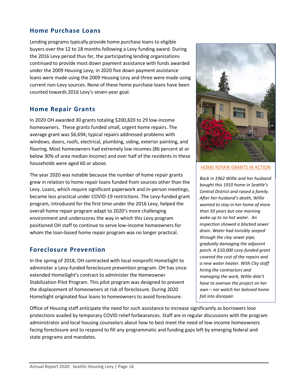### **Home Purchase Loans**

Lending programs typically provide home purchase loans to eligible buyers over the 12 to 18 months following a Levy funding award. During the 2016 Levy period thus far, the participating lending organizations continued to provide most down payment assistance with funds awarded under the 2009 Housing Levy; in 2020 five down payment assistance loans were made using the 2009 Housing Levy and three were made using current non-Levy sources. None of these home purchase loans have been counted towards 2016 Levy's seven-year goal.

## **Home Repair Grants**

In 2020 OH awarded 30 grants totaling \$200,820 to 29 low-income homeowners. These grants funded small, urgent home repairs. The average grant was \$6,694; typical repairs addressed problems with windows, doors, roofs, electrical, plumbing, siding, exterior painting, and flooring. Most homeowners had extremely low incomes (86 percent at or below 30% of area median income) and over half of the residents in these households were aged 60 or above.

The year 2020 was notable because the number of home repair grants grew in relation to home repair loans funded from sources other than the Levy. Loans, which require significant paperwork and in-person meetings, became less practical under COVID-19 restrictions. The Levy-funded grant program, introduced for the first time under the 2016 Levy, helped the overall home repair program adapt to 2020's more challenging environment and underscores the way in which this Levy program positioned OH staff to continue to serve low-income homeowners for whom the loan-based home repair program was no longer practical.

## **Foreclosure Prevention**

In the spring of 2018, OH contracted with local nonprofit HomeSight to administer a Levy-funded foreclosure prevention program. OH has since extended HomeSight's contract to administer the Homeowner Stabilization Pilot Program. This pilot program was designed to prevent the displacement of homeowners at risk of foreclosure. During 2020 HomeSight originated four loans to homeowners to avoid foreclosure.



#### HOME REPAIR GRANTS IN ACTION

*Back in 1962 Willie and her husband bought this 1910 home in Seattle's Central District and raised a family. After her husband's death, Willie wanted to stay in her home of more than 50 years but one morning woke up to no hot water. An inspection showed a blocked sewer drain. Water had invisibly seeped through the clay sewer pipe, gradually damaging the adjacent porch. A \$10,000 Levy-funded grant covered the cost of the repairs and a new water heater. With City staff hiring the contractors and managing the work, Willie didn't have to oversee the project on her own – nor watch her beloved home fall into disrepair.* 

Office of Housing staff anticipate the need for such assistance to increase significantly as borrowers lose protections availed by temporary COVID relief forbearances. Staff are in regular discussions with the program administrator and local housing counselors about how to best meet the need of low-income homeowners facing foreclosure and to respond to fill any programmatic and funding gaps left by emerging federal and state programs and mandates.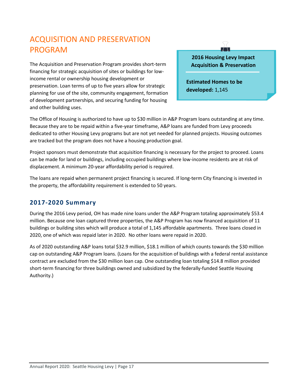# <span id="page-20-0"></span>ACQUISITION AND PRESERVATION PROGRAM

The Acquisition and Preservation Program provides short-term financing for strategic acquisition of sites or buildings for lowincome rental or ownership housing development or preservation. Loan terms of up to five years allow for strategic planning for use of the site, community engagement, formation of development partnerships, and securing funding for housing and other building uses.

**2016 Housing Levy Impact Acquisition & Preservation**

 $\perp$ 

 **Estimated Homes to be developed:** 1,145

The Office of Housing is authorized to have up to \$30 million in A&P Program loans outstanding at any time. Because they are to be repaid within a five-year timeframe, A&P loans are funded from Levy proceeds dedicated to other Housing Levy programs but are not yet needed for planned projects. Housing outcomes are tracked but the program does not have a housing production goal.

Project sponsors must demonstrate that acquisition financing is necessary for the project to proceed. Loans can be made for land or buildings, including occupied buildings where low-income residents are at risk of displacement. A minimum 20-year affordability period is required.

The loans are repaid when permanent project financing is secured. If long-term City financing is invested in the property, the affordability requirement is extended to 50 years.

## **2017-2020 Summary**

During the 2016 Levy period, OH has made nine loans under the A&P Program totaling approximately \$53.4 million. Because one loan captured three properties, the A&P Program has now financed acquisition of 11 buildings or building sites which will produce a total of 1,145 affordable apartments. Three loans closed in 2020, one of which was repaid later in 2020. No other loans were repaid in 2020.

As of 2020 outstanding A&P loans total \$32.9 million, \$18.1 million of which counts towards the \$30 million cap on outstanding A&P Program loans. (Loans for the acquisition of buildings with a federal rental assistance contract are excluded from the \$30 million loan cap. One outstanding loan totaling \$14.8 million provided short-term financing for three buildings owned and subsidized by the federally-funded Seattle Housing Authority.)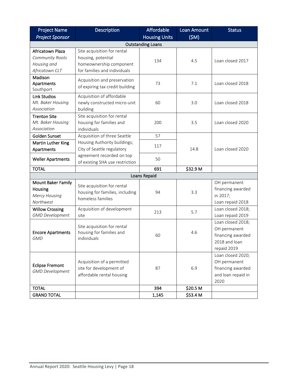| <b>Project Name</b>                                                       | <b>Description</b>                                                                                           | <b>Affordable</b>    | <b>Loan Amount</b> | <b>Status</b>                                                                          |  |  |
|---------------------------------------------------------------------------|--------------------------------------------------------------------------------------------------------------|----------------------|--------------------|----------------------------------------------------------------------------------------|--|--|
| <b>Project Sponsor</b>                                                    |                                                                                                              | <b>Housing Units</b> | (SM)               |                                                                                        |  |  |
| <b>Outstanding Loans</b>                                                  |                                                                                                              |                      |                    |                                                                                        |  |  |
| Africatown Plaza<br>Community Roots<br>Housing and<br>Africatown CLT      | Site acquisition for rental<br>housing, potential<br>homeownership component<br>for families and individuals | 134                  | 4.5                | Loan closed 2017                                                                       |  |  |
| Madison<br>Apartments<br>Southport                                        | Acquisition and preservation<br>of expiring tax credit building                                              | 73                   | 7.1                | Loan closed 2018                                                                       |  |  |
| <b>Link Studios</b><br>Mt. Baker Housing<br>Association                   | Acquisition of affordable<br>newly constructed micro-unit<br>building                                        | 60                   | 3.0                | Loan closed 2018                                                                       |  |  |
| <b>Trenton Site</b><br>Mt. Baker Housing<br>Association                   | Site acquisition for rental<br>housing for families and<br>individuals                                       | 200                  | 3.5                | Loan closed 2020                                                                       |  |  |
| Golden Sunset                                                             | Acquisition of three Seattle                                                                                 | 57                   |                    | Loan closed 2020                                                                       |  |  |
| <b>Martin Luther King</b><br>Apartments                                   | Housing Authority buildings;<br>City of Seattle regulatory                                                   | 117                  | 14.8               |                                                                                        |  |  |
| <b>Weller Apartments</b>                                                  | agreement recorded on top<br>of existing SHA use restriction                                                 | 50                   |                    |                                                                                        |  |  |
| <b>TOTAL</b>                                                              |                                                                                                              | 691                  | \$32.9 M           |                                                                                        |  |  |
| Loans Repaid                                                              |                                                                                                              |                      |                    |                                                                                        |  |  |
| <b>Mount Baker Family</b><br>Housing<br><b>Mercy Housing</b><br>Northwest | Site acquisition for rental<br>housing for families, including<br>homeless families                          | 94                   | 3.3                | OH permanent<br>financing awarded<br>in 2017;<br>Loan repaid 2018                      |  |  |
| <b>Willow Crossing</b><br><b>GMD Development</b>                          | Acquisition of development<br>site                                                                           | 213                  | 5.7                | Loan closed 2018;<br>Loan repaid 2019                                                  |  |  |
| <b>Encore Apartments</b><br><b>GMD</b>                                    | Site acquisition for rental<br>housing for families and<br>individuals                                       | 60                   | 4.6                | Loan closed 2018;<br>OH permanent<br>financing awarded<br>2018 and loan<br>repaid 2019 |  |  |
| <b>Eclipse Fremont</b><br><b>GMD Development</b>                          | Acquisition of a permitted<br>site for development of<br>affordable rental housing                           | 87                   | 6.9                | Loan closed 2020;<br>OH permanent<br>financing awarded<br>and loan repaid in<br>2020   |  |  |
| <b>TOTAL</b>                                                              |                                                                                                              | 394                  | \$20.5 M           |                                                                                        |  |  |
| <b>GRAND TOTAL</b>                                                        |                                                                                                              | 1,145                | \$53.4 M           |                                                                                        |  |  |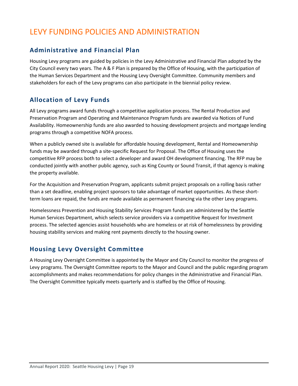# <span id="page-22-0"></span>LEVY FUNDING POLICIES AND ADMINISTRATION

# **Administrative and Financial Plan**

Housing Levy programs are guided by policies in the Levy Administrative and Financial Plan adopted by the City Council every two years. The A & F Plan is prepared by the Office of Housing, with the participation of the Human Services Department and the Housing Levy Oversight Committee. Community members and stakeholders for each of the Levy programs can also participate in the biennial policy review.

# **Allocation of Levy Funds**

All Levy programs award funds through a competitive application process. The Rental Production and Preservation Program and Operating and Maintenance Program funds are awarded via Notices of Fund Availability. Homeownership funds are also awarded to housing development projects and mortgage lending programs through a competitive NOFA process.

When a publicly owned site is available for affordable housing development, Rental and Homeownership funds may be awarded through a site-specific Request for Proposal. The Office of Housing uses the competitive RFP process both to select a developer and award OH development financing. The RFP may be conducted jointly with another public agency, such as King County or Sound Transit, if that agency is making the property available.

For the Acquisition and Preservation Program, applicants submit project proposals on a rolling basis rather than a set deadline, enabling project sponsors to take advantage of market opportunities. As these shortterm loans are repaid, the funds are made available as permanent financing via the other Levy programs.

Homelessness Prevention and Housing Stability Services Program funds are administered by the Seattle Human Services Department, which selects service providers via a competitive Request for Investment process. The selected agencies assist households who are homeless or at risk of homelessness by providing housing stability services and making rent payments directly to the housing owner.

# **Housing Levy Oversight Committee**

A Housing Levy Oversight Committee is appointed by the Mayor and City Council to monitor the progress of Levy programs. The Oversight Committee reports to the Mayor and Council and the public regarding program accomplishments and makes recommendations for policy changes in the Administrative and Financial Plan. The Oversight Committee typically meets quarterly and is staffed by the Office of Housing.